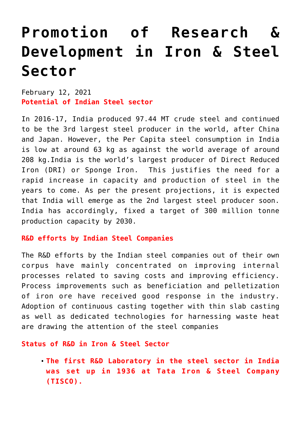# **[Promotion of Research &](https://journalsofindia.com/promotion-of-research-development-in-iron-steel-sector/) [Development in Iron & Steel](https://journalsofindia.com/promotion-of-research-development-in-iron-steel-sector/) [Sector](https://journalsofindia.com/promotion-of-research-development-in-iron-steel-sector/)**

February 12, 2021 **Potential of Indian Steel sector**

In 2016-17, India produced 97.44 MT crude steel and continued to be the 3rd largest steel producer in the world, after China and Japan. However, the Per Capita steel consumption in India is low at around 63 kg as against the world average of around 208 kg.India is the world's largest producer of Direct Reduced Iron (DRI) or Sponge Iron. This justifies the need for a rapid increase in capacity and production of steel in the years to come. As per the present projections, it is expected that India will emerge as the 2nd largest steel producer soon. India has accordingly, fixed a target of 300 million tonne production capacity by 2030.

#### **R&D efforts by Indian Steel Companies**

The R&D efforts by the Indian steel companies out of their own corpus have mainly concentrated on improving internal processes related to saving costs and improving efficiency. Process improvements such as beneficiation and pelletization of iron ore have received good response in the industry. Adoption of continuous casting together with thin slab casting as well as dedicated technologies for harnessing waste heat are drawing the attention of the steel companies

#### **Status of R&D in Iron & Steel Sector**

**The first R&D Laboratory in the steel sector in India was set up in 1936 at Tata Iron & Steel Company (TISCO).**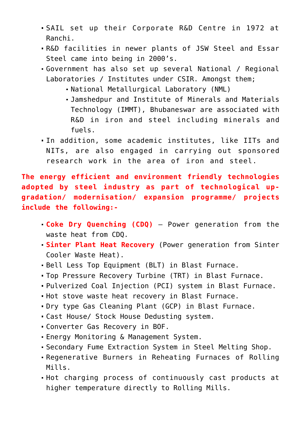- SAIL set up their Corporate R&D Centre in 1972 at Ranchi.
- R&D facilities in newer plants of JSW Steel and Essar Steel came into being in 2000's.
- Government has also set up several National / Regional Laboratories / Institutes under CSIR. Amongst them;
	- National Metallurgical Laboratory (NML)
	- Jamshedpur and Institute of Minerals and Materials Technology (IMMT), Bhubaneswar are associated with R&D in iron and steel including minerals and fuels.
- In addition, some academic institutes, like IITs and NITs, are also engaged in carrying out sponsored research work in the area of iron and steel.

**The energy efficient and environment friendly technologies adopted by steel industry as part of technological upgradation/ modernisation/ expansion programme/ projects include the following:-**

- **Coke Dry Quenching (CDQ)**  Power generation from the waste heat from CDQ.
- **Sinter Plant Heat Recovery** (Power generation from Sinter Cooler Waste Heat).
- Bell Less Top Equipment (BLT) in Blast Furnace.
- Top Pressure Recovery Turbine (TRT) in Blast Furnace.
- Pulverized Coal Injection (PCI) system in Blast Furnace.
- Hot stove waste heat recovery in Blast Furnace.
- Dry type Gas Cleaning Plant (GCP) in Blast Furnace.
- Cast House/ Stock House Dedusting system.
- Converter Gas Recovery in BOF.
- Energy Monitoring & Management System.
- Secondary Fume Extraction System in Steel Melting Shop.
- Regenerative Burners in Reheating Furnaces of Rolling Mills.
- Hot charging process of continuously cast products at higher temperature directly to Rolling Mills.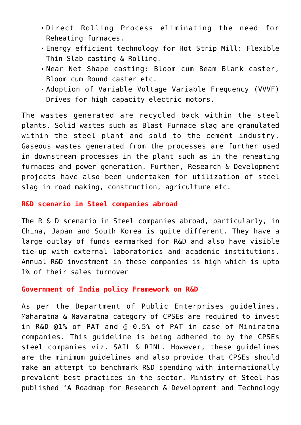- Direct Rolling Process eliminating the need for Reheating furnaces.
- Energy efficient technology for Hot Strip Mill: Flexible Thin Slab casting & Rolling.
- Near Net Shape casting: Bloom cum Beam Blank caster, Bloom cum Round caster etc.
- Adoption of Variable Voltage Variable Frequency (VVVF) Drives for high capacity electric motors.

The wastes generated are recycled back within the steel plants. Solid wastes such as Blast Furnace slag are granulated within the steel plant and sold to the cement industry. Gaseous wastes generated from the processes are further used in downstream processes in the plant such as in the reheating furnaces and power generation. Further, Research & Development projects have also been undertaken for utilization of steel slag in road making, construction, agriculture etc.

## **R&D scenario in Steel companies abroad**

The R & D scenario in Steel companies abroad, particularly, in China, Japan and South Korea is quite different. They have a large outlay of funds earmarked for R&D and also have visible tie-up with external laboratories and academic institutions. Annual R&D investment in these companies is high which is upto 1% of their sales turnover

#### **Government of India policy Framework on R&D**

As per the Department of Public Enterprises guidelines, Maharatna & Navaratna category of CPSEs are required to invest in R&D @1% of PAT and @ 0.5% of PAT in case of Miniratna companies. This guideline is being adhered to by the CPSEs steel companies viz. SAIL & RINL. However, these guidelines are the minimum guidelines and also provide that CPSEs should make an attempt to benchmark R&D spending with internationally prevalent best practices in the sector. Ministry of Steel has published 'A Roadmap for Research & Development and Technology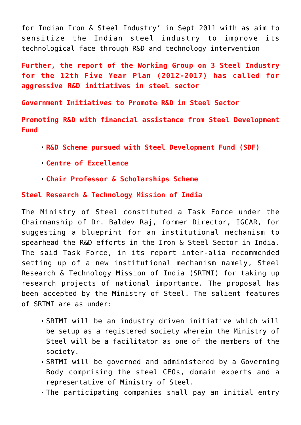for Indian Iron & Steel Industry' in Sept 2011 with as aim to sensitize the Indian steel industry to improve its technological face through R&D and technology intervention

**Further, the report of the Working Group on 3 Steel Industry for the 12th Five Year Plan (2012-2017) has called for aggressive R&D initiatives in steel sector**

**Government Initiatives to Promote R&D in Steel Sector**

**Promoting R&D with financial assistance from Steel Development Fund** 

- **R&D Scheme pursued with Steel Development Fund (SDF)**
- **Centre of Excellence**
- **Chair Professor & Scholarships Scheme**

### **Steel Research & Technology Mission of India**

The Ministry of Steel constituted a Task Force under the Chairmanship of Dr. Baldev Raj, former Director, IGCAR, for suggesting a blueprint for an institutional mechanism to spearhead the R&D efforts in the Iron & Steel Sector in India. The said Task Force, in its report inter-alia recommended setting up of a new institutional mechanism namely, Steel Research & Technology Mission of India (SRTMI) for taking up research projects of national importance. The proposal has been accepted by the Ministry of Steel. The salient features of SRTMI are as under:

- SRTMI will be an industry driven initiative which will be setup as a registered society wherein the Ministry of Steel will be a facilitator as one of the members of the society.
- SRTMI will be governed and administered by a Governing Body comprising the steel CEOs, domain experts and a representative of Ministry of Steel.
- The participating companies shall pay an initial entry